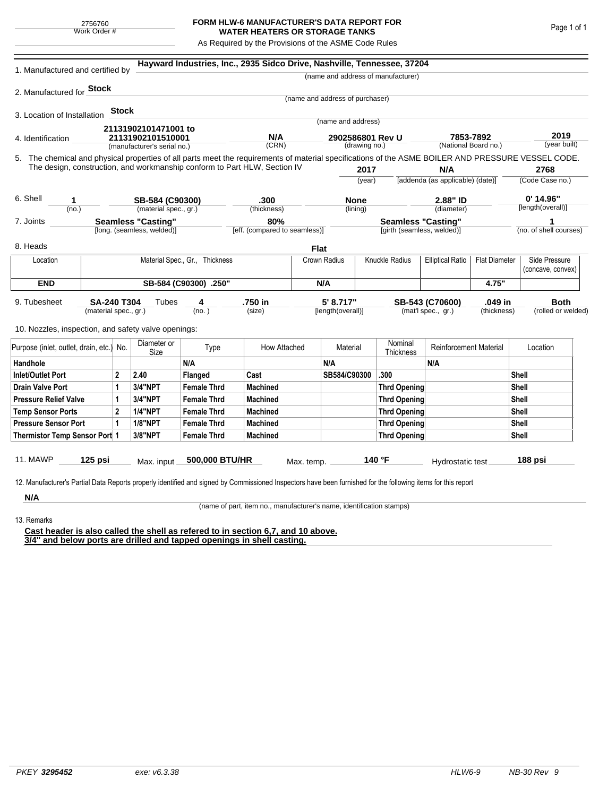| 2756760      |  |
|--------------|--|
| Work Order # |  |

## **FORM HLW-6 MANUFACTURER'S DATA REPORT FOR WATER HEATERS OR STORAGE TANKS**

As Required by the Provisions of the ASME Code Rules

| 1. Manufactured and certified by                                                                                                                                                                                                |                   |                       |                             |                                | Hayward Industries, Inc., 2935 Sidco Drive, Nashville, Tennessee, 37204 |            |                                   |                            |                                    |                               |                                         |                        |                         |  |
|---------------------------------------------------------------------------------------------------------------------------------------------------------------------------------------------------------------------------------|-------------------|-----------------------|-----------------------------|--------------------------------|-------------------------------------------------------------------------|------------|-----------------------------------|----------------------------|------------------------------------|-------------------------------|-----------------------------------------|------------------------|-------------------------|--|
|                                                                                                                                                                                                                                 |                   |                       |                             |                                |                                                                         |            |                                   |                            | (name and address of manufacturer) |                               |                                         |                        |                         |  |
| 2. Manufactured for <b>Stock</b>                                                                                                                                                                                                |                   |                       |                             |                                |                                                                         |            |                                   |                            |                                    |                               |                                         |                        |                         |  |
|                                                                                                                                                                                                                                 |                   |                       |                             |                                |                                                                         |            | (name and address of purchaser)   |                            |                                    |                               |                                         |                        |                         |  |
| 3. Location of Installation                                                                                                                                                                                                     |                   | Stock                 |                             |                                |                                                                         |            |                                   |                            |                                    |                               |                                         |                        |                         |  |
|                                                                                                                                                                                                                                 |                   |                       | 21131902101471001 to        |                                |                                                                         |            | (name and address)                |                            |                                    |                               |                                         |                        |                         |  |
| 4. Identification                                                                                                                                                                                                               | 21131902101510001 |                       |                             |                                | N/A                                                                     |            | 2902586801 Rev U<br>(drawing no.) |                            | 7853-7892<br>(National Board no.)  |                               |                                         | 2019<br>(year built)   |                         |  |
|                                                                                                                                                                                                                                 |                   |                       | (manufacturer's serial no.) |                                | (CRN)                                                                   |            |                                   |                            |                                    |                               |                                         |                        |                         |  |
| 5. The chemical and physical properties of all parts meet the requirements of material specifications of the ASME BOILER AND PRESSURE VESSEL CODE.<br>The design, construction, and workmanship conform to Part HLW, Section IV |                   |                       |                             |                                |                                                                         |            |                                   |                            |                                    |                               |                                         |                        |                         |  |
|                                                                                                                                                                                                                                 |                   |                       |                             |                                |                                                                         |            |                                   | 2017<br>(year)             |                                    |                               | N/A<br>[addenda (as applicable) (date)] |                        | 2768<br>(Code Case no.) |  |
|                                                                                                                                                                                                                                 |                   |                       |                             |                                |                                                                         |            |                                   |                            |                                    |                               |                                         |                        |                         |  |
| 6. Shell<br>SB-584 (C90300)<br>1                                                                                                                                                                                                |                   | .300                  |                             |                                | <b>None</b>                                                             |            | 2.88" ID                          |                            | $0'$ 14.96"                        |                               |                                         |                        |                         |  |
| (no.)                                                                                                                                                                                                                           |                   |                       | (material spec., gr.)       |                                | (thickness)                                                             |            | (lining)                          |                            | (diameter)                         |                               |                                         | [length(overall)]      |                         |  |
| 7. Joints                                                                                                                                                                                                                       |                   |                       | <b>Seamless "Casting"</b>   |                                | 80%                                                                     |            |                                   |                            | <b>Seamless "Casting"</b>          |                               |                                         |                        |                         |  |
| [long. (seamless, welded)]                                                                                                                                                                                                      |                   |                       |                             | [eff. (compared to seamless)]  |                                                                         |            |                                   | [girth (seamless, welded)] |                                    |                               |                                         | (no. of shell courses) |                         |  |
| 8. Heads                                                                                                                                                                                                                        |                   |                       |                             |                                |                                                                         |            | <b>Flat</b>                       |                            |                                    |                               |                                         |                        |                         |  |
| Location                                                                                                                                                                                                                        |                   |                       |                             | Material Spec., Gr., Thickness |                                                                         |            | Crown Radius                      |                            | Knuckle Radius                     | <b>Elliptical Ratio</b>       | <b>Flat Diameter</b>                    |                        | Side Pressure           |  |
|                                                                                                                                                                                                                                 |                   |                       |                             |                                |                                                                         |            |                                   |                            |                                    |                               |                                         |                        | (concave, convex)       |  |
| <b>END</b>                                                                                                                                                                                                                      |                   | SB-584 (C90300) .250" |                             |                                |                                                                         | N/A        |                                   |                            |                                    | 4.75"                         |                                         |                        |                         |  |
| 9. Tubesheet<br>SA-240 T304                                                                                                                                                                                                     |                   |                       | Tubes                       | 4                              | .750 in                                                                 |            |                                   | 5' 8.717"                  |                                    |                               | .049 in<br>SB-543 (C70600)              |                        | <b>Both</b>             |  |
| (material spec., gr.)                                                                                                                                                                                                           |                   |                       |                             | (no. )                         | (size)<br>[length(overall)]                                             |            |                                   |                            | (mat'l spec., gr.)<br>(thickness)  |                               |                                         |                        | (rolled or welded)      |  |
| 10. Nozzles, inspection, and safety valve openings:                                                                                                                                                                             |                   |                       |                             |                                |                                                                         |            |                                   |                            |                                    |                               |                                         |                        |                         |  |
| Purpose (inlet, outlet, drain, etc.) No.                                                                                                                                                                                        |                   |                       | Diameter or<br>Size         | Type                           | How Attached                                                            |            | Material                          |                            | Nominal<br>Thickness               | <b>Reinforcement Material</b> |                                         |                        | Location                |  |
| Handhole                                                                                                                                                                                                                        |                   |                       |                             | N/A                            |                                                                         | N/A        |                                   |                            |                                    | N/A                           |                                         |                        |                         |  |
| <b>Inlet/Outlet Port</b>                                                                                                                                                                                                        |                   | $\overline{2}$        | 2.40                        | Flanged                        | Cast                                                                    |            | SB584/C90300                      |                            | .300                               |                               |                                         | Shell                  |                         |  |
| <b>Drain Valve Port</b>                                                                                                                                                                                                         |                   | 1                     | 3/4"NPT                     | <b>Female Thrd</b>             | <b>Machined</b>                                                         |            |                                   |                            | <b>Thrd Opening</b>                |                               |                                         | Shell                  |                         |  |
| <b>Pressure Relief Valve</b>                                                                                                                                                                                                    |                   | 1                     | 3/4"NPT                     | <b>Female Thrd</b>             | <b>Machined</b>                                                         |            |                                   |                            | <b>Thrd Opening</b>                |                               |                                         | Shell                  |                         |  |
| <b>Temp Sensor Ports</b>                                                                                                                                                                                                        |                   | $\overline{2}$        | <b>1/4"NPT</b>              | <b>Female Thrd</b>             | <b>Machined</b>                                                         |            |                                   |                            | Thrd Opening                       |                               |                                         | Shell                  |                         |  |
| <b>Pressure Sensor Port</b>                                                                                                                                                                                                     |                   | 1                     | <b>1/8"NPT</b>              | <b>Female Thrd</b>             | <b>Machined</b>                                                         |            |                                   |                            | Thrd Opening                       |                               |                                         | Shell                  |                         |  |
| Thermistor Temp Sensor Port 1                                                                                                                                                                                                   |                   |                       | 3/8"NPT                     | <b>Female Thrd</b>             | <b>Machined</b>                                                         |            |                                   |                            | Thrd Opening                       |                               |                                         | Shell                  |                         |  |
| 11. MAWP                                                                                                                                                                                                                        | $125$ psi         |                       | Max. input                  | 500,000 BTU/HR                 |                                                                         | Max. temp. |                                   |                            | 140 °F                             | Hydrostatic test              |                                         |                        | 188 psi                 |  |
|                                                                                                                                                                                                                                 |                   |                       |                             |                                |                                                                         |            |                                   |                            |                                    |                               |                                         |                        |                         |  |
| 12. Manufacturer's Partial Data Reports properly identified and signed by Commissioned Inspectors have been furnished for the following items for this report                                                                   |                   |                       |                             |                                |                                                                         |            |                                   |                            |                                    |                               |                                         |                        |                         |  |
| N/A                                                                                                                                                                                                                             |                   |                       |                             |                                |                                                                         |            |                                   |                            |                                    |                               |                                         |                        |                         |  |

(name of part, item no., manufacturer's name, identification stamps)

13. Remarks

**Cast header is also called the shell as refered to in section 6,7, and 10 above. 3/4" and below ports are drilled and tapped openings in shell casting.**